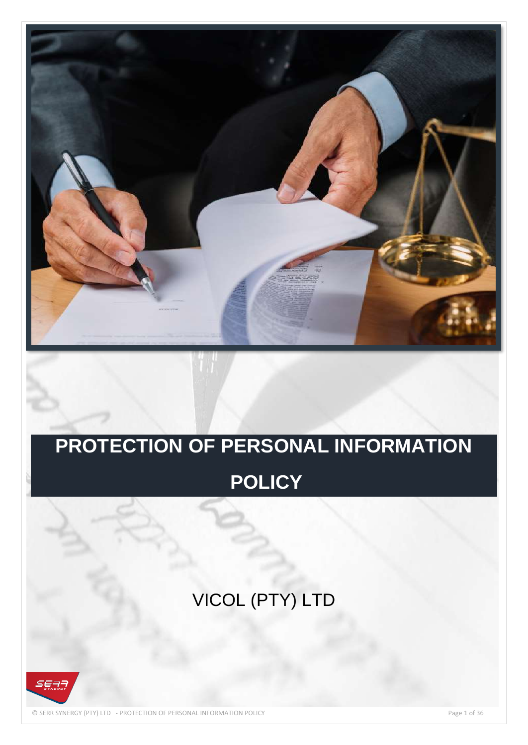

# **PROTECTION OF PERSONAL INFORMATION**

## **POLICY**

## VICOL (PTY) LTD



© SERR SYNERGY (PTY) LTD - PROTECTION OF PERSONAL INFORMATION POLICY Page 1 of 36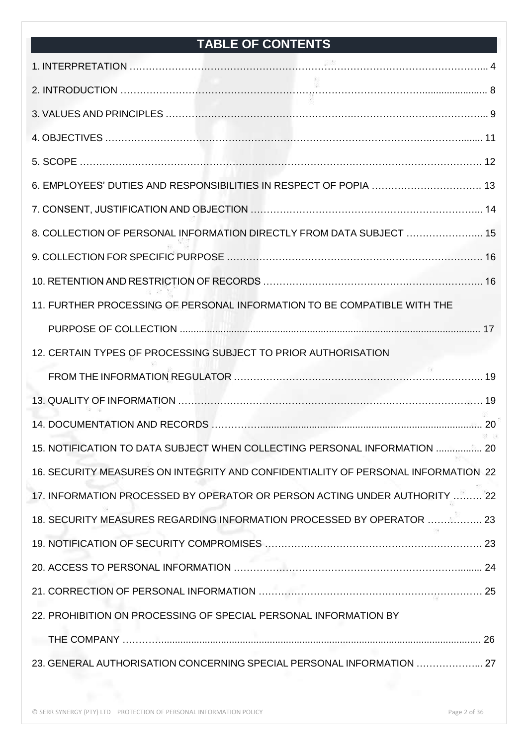## **TABLE OF CONTENTS**

| 6. EMPLOYEES' DUTIES AND RESPONSIBILITIES IN RESPECT OF POPIA  13                 |
|-----------------------------------------------------------------------------------|
|                                                                                   |
| 8. COLLECTION OF PERSONAL INFORMATION DIRECTLY FROM DATA SUBJECT  15              |
|                                                                                   |
|                                                                                   |
| 11. FURTHER PROCESSING OF PERSONAL INFORMATION TO BE COMPATIBLE WITH THE          |
|                                                                                   |
| 12. CERTAIN TYPES OF PROCESSING SUBJECT TO PRIOR AUTHORISATION                    |
|                                                                                   |
|                                                                                   |
|                                                                                   |
| 15. NOTIFICATION TO DATA SUBJECT WHEN COLLECTING PERSONAL INFORMATION  20         |
| 16. SECURITY MEASURES ON INTEGRITY AND CONFIDENTIALITY OF PERSONAL INFORMATION 22 |
| 17. INFORMATION PROCESSED BY OPERATOR OR PERSON ACTING UNDER AUTHORITY  22        |
| 18. SECURITY MEASURES REGARDING INFORMATION PROCESSED BY OPERATOR  23             |
|                                                                                   |
|                                                                                   |
|                                                                                   |
| 22. PROHIBITION ON PROCESSING OF SPECIAL PERSONAL INFORMATION BY                  |
|                                                                                   |
| 23. GENERAL AUTHORISATION CONCERNING SPECIAL PERSONAL INFORMATION  27             |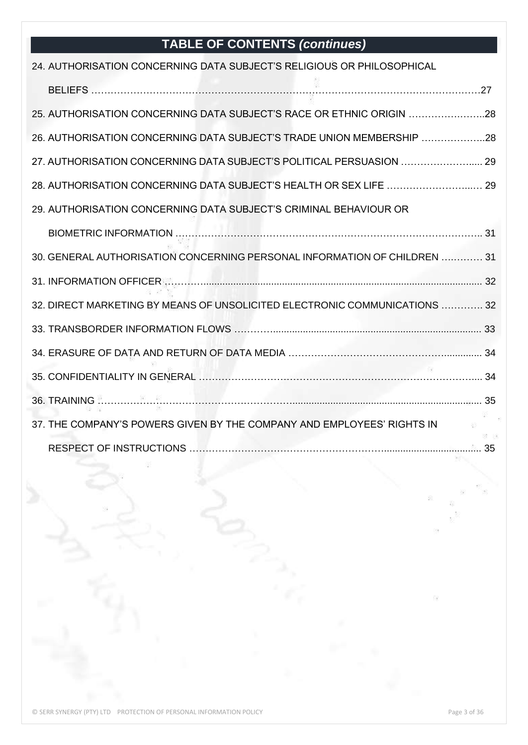## **TABLE OF CONTENTS** *(continues)*

| 24. AUTHORISATION CONCERNING DATA SUBJECT'S RELIGIOUS OR PHILOSOPHICAL     |  |
|----------------------------------------------------------------------------|--|
|                                                                            |  |
| 25. AUTHORISATION CONCERNING DATA SUBJECT'S RACE OR ETHNIC ORIGIN 28       |  |
| 26. AUTHORISATION CONCERNING DATA SUBJECT'S TRADE UNION MEMBERSHIP 28      |  |
| 27. AUTHORISATION CONCERNING DATA SUBJECT'S POLITICAL PERSUASION  29       |  |
| 28. AUTHORISATION CONCERNING DATA SUBJECT'S HEALTH OR SEX LIFE  29         |  |
| 29. AUTHORISATION CONCERNING DATA SUBJECT'S CRIMINAL BEHAVIOUR OR          |  |
|                                                                            |  |
| 30. GENERAL AUTHORISATION CONCERNING PERSONAL INFORMATION OF CHILDREN  31  |  |
|                                                                            |  |
| 32. DIRECT MARKETING BY MEANS OF UNSOLICITED ELECTRONIC COMMUNICATIONS  32 |  |
|                                                                            |  |
|                                                                            |  |
|                                                                            |  |
|                                                                            |  |
| 37. THE COMPANY'S POWERS GIVEN BY THE COMPANY AND EMPLOYEES' RIGHTS IN     |  |
|                                                                            |  |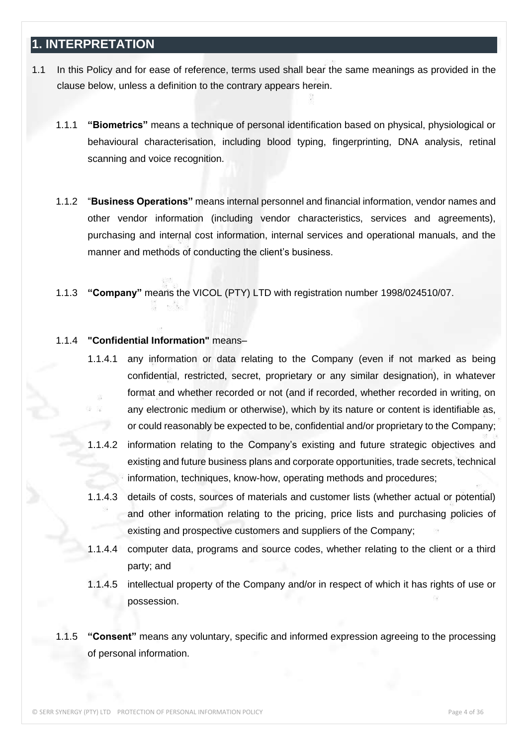#### **1. INTERPRETATION**

- 1.1 In this Policy and for ease of reference, terms used shall bear the same meanings as provided in the clause below, unless a definition to the contrary appears herein.
	- 1.1.1 **"Biometrics"** means a technique of personal identification based on physical, physiological or behavioural characterisation, including blood typing, fingerprinting, DNA analysis, retinal scanning and voice recognition.
	- 1.1.2 "**Business Operations"** means internal personnel and financial information, vendor names and other vendor information (including vendor characteristics, services and agreements), purchasing and internal cost information, internal services and operational manuals, and the manner and methods of conducting the client's business.
	- 1.1.3 **"Company"** means the VICOL (PTY) LTD with registration number 1998/024510/07.

#### 1.1.4 **"Confidential Information"** means–

- 1.1.4.1 any information or data relating to the Company (even if not marked as being confidential, restricted, secret, proprietary or any similar designation), in whatever format and whether recorded or not (and if recorded, whether recorded in writing, on any electronic medium or otherwise), which by its nature or content is identifiable as, or could reasonably be expected to be, confidential and/or proprietary to the Company;
- 1.1.4.2 information relating to the Company's existing and future strategic objectives and existing and future business plans and corporate opportunities, trade secrets, technical information, techniques, know-how, operating methods and procedures;
- 1.1.4.3 details of costs, sources of materials and customer lists (whether actual or potential) and other information relating to the pricing, price lists and purchasing policies of existing and prospective customers and suppliers of the Company;
- 1.1.4.4 computer data, programs and source codes, whether relating to the client or a third party; and
- 1.1.4.5 intellectual property of the Company and/or in respect of which it has rights of use or possession.
- 1.1.5 **"Consent"** means any voluntary, specific and informed expression agreeing to the processing of personal information.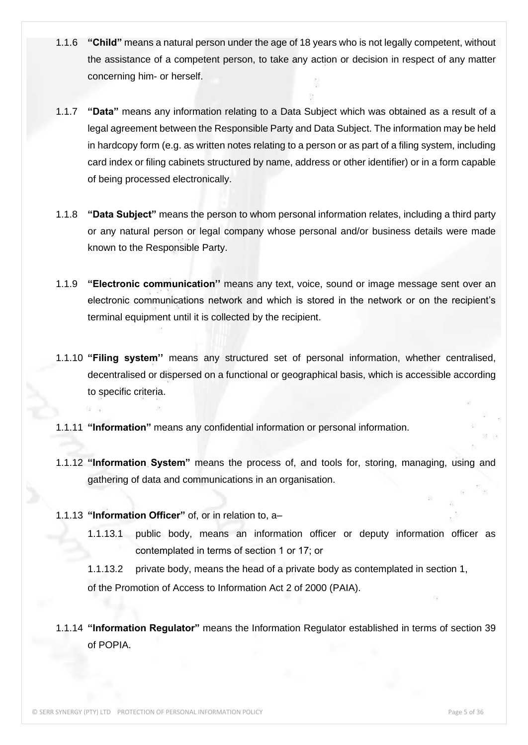- 1.1.6 **"Child"** means a natural person under the age of 18 years who is not legally competent, without the assistance of a competent person, to take any action or decision in respect of any matter concerning him- or herself.
- 1.1.7 **"Data"** means any information relating to a Data Subject which was obtained as a result of a legal agreement between the Responsible Party and Data Subject. The information may be held in hardcopy form (e.g. as written notes relating to a person or as part of a filing system, including card index or filing cabinets structured by name, address or other identifier) or in a form capable of being processed electronically.
- 1.1.8 **"Data Subject"** means the person to whom personal information relates, including a third party or any natural person or legal company whose personal and/or business details were made known to the Responsible Party.
- 1.1.9 **"Electronic communication''** means any text, voice, sound or image message sent over an electronic communications network and which is stored in the network or on the recipient's terminal equipment until it is collected by the recipient.
- 1.1.10 **"Filing system''** means any structured set of personal information, whether centralised, decentralised or dispersed on a functional or geographical basis, which is accessible according to specific criteria.
- 1.1.11 **"Information"** means any confidential information or personal information.
- 1.1.12 **"Information System"** means the process of, and tools for, storing, managing, using and gathering of data and communications in an organisation.
- 1.1.13 **"Information Officer"** of, or in relation to, a–
	- 1.1.13.1 public body, means an information officer or deputy information officer as contemplated in terms of section 1 or 17; or

1.1.13.2 private body, means the head of a private body as contemplated in section 1, of the Promotion of Access to Information Act 2 of 2000 (PAIA).

1.1.14 **"Information Regulator"** means the Information Regulator established in terms of section 39 of POPIA.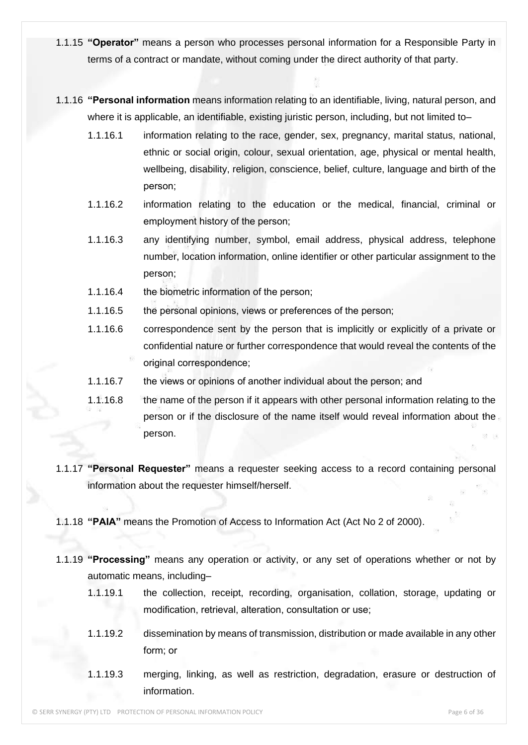- 1.1.15 **"Operator"** means a person who processes personal information for a Responsible Party in terms of a contract or mandate, without coming under the direct authority of that party.
- 1.1.16 **"Personal information** means information relating to an identifiable, living, natural person, and where it is applicable, an identifiable, existing juristic person, including, but not limited to–
	- 1.1.16.1 information relating to the race, gender, sex, pregnancy, marital status, national, ethnic or social origin, colour, sexual orientation, age, physical or mental health, wellbeing, disability, religion, conscience, belief, culture, language and birth of the person;
	- 1.1.16.2 information relating to the education or the medical, financial, criminal or employment history of the person;
	- 1.1.16.3 any identifying number, symbol, email address, physical address, telephone number, location information, online identifier or other particular assignment to the person;
	- 1.1.16.4 the biometric information of the person;
	- 1.1.16.5 the personal opinions, views or preferences of the person;
	- 1.1.16.6 correspondence sent by the person that is implicitly or explicitly of a private or confidential nature or further correspondence that would reveal the contents of the original correspondence;
	- 1.1.16.7 the views or opinions of another individual about the person; and
	- 1.1.16.8 the name of the person if it appears with other personal information relating to the person or if the disclosure of the name itself would reveal information about the person.
- 1.1.17 **"Personal Requester"** means a requester seeking access to a record containing personal information about the requester himself/herself.
- 1.1.18 **"PAIA"** means the Promotion of Access to Information Act (Act No 2 of 2000).
- 1.1.19 **"Processing"** means any operation or activity, or any set of operations whether or not by automatic means, including–
	- 1.1.19.1 the collection, receipt, recording, organisation, collation, storage, updating or modification, retrieval, alteration, consultation or use;
	- 1.1.19.2 dissemination by means of transmission, distribution or made available in any other form; or
	- 1.1.19.3 merging, linking, as well as restriction, degradation, erasure or destruction of information.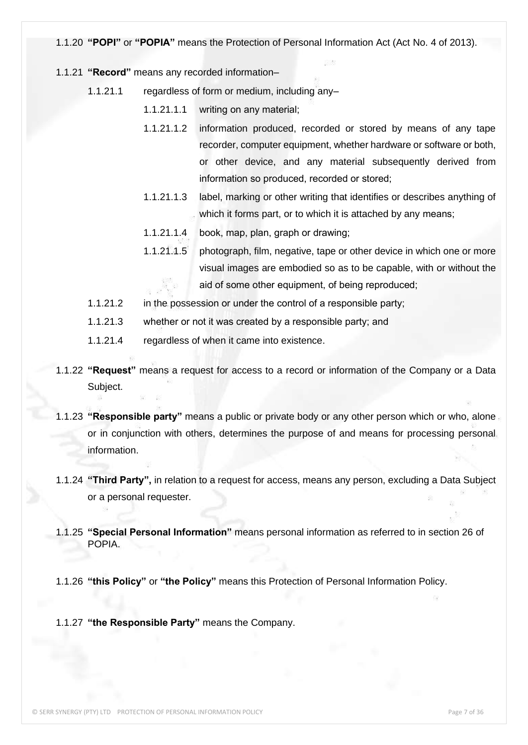#### 1.1.20 **"POPI"** or **"POPIA"** means the Protection of Personal Information Act (Act No. 4 of 2013).

- 1.1.21 **"Record"** means any recorded information–
	- 1.1.21.1 regardless of form or medium, including any–
		- 1.1.21.1.1 writing on any material;
		- 1.1.21.1.2 information produced, recorded or stored by means of any tape recorder, computer equipment, whether hardware or software or both, or other device, and any material subsequently derived from information so produced, recorded or stored;
		- 1.1.21.1.3 label, marking or other writing that identifies or describes anything of which it forms part, or to which it is attached by any means;
		- 1.1.21.1.4 book, map, plan, graph or drawing;
		- 1.1.21.1.5 photograph, film, negative, tape or other device in which one or more visual images are embodied so as to be capable, with or without the aid of some other equipment, of being reproduced;
	- 1.1.21.2 in the possession or under the control of a responsible party;
	- 1.1.21.3 whether or not it was created by a responsible party; and
	- 1.1.21.4 regardless of when it came into existence.
- 1.1.22 **"Request"** means a request for access to a record or information of the Company or a Data Subject.
- 1.1.23 **"Responsible party"** means a public or private body or any other person which or who, alone or in conjunction with others, determines the purpose of and means for processing personal information.
- 1.1.24 **"Third Party",** in relation to a request for access, means any person, excluding a Data Subject or a personal requester.
- 1.1.25 **"Special Personal Information"** means personal information as referred to in section 26 of POPIA.
- 1.1.26 **"this Policy"** or **"the Policy"** means this Protection of Personal Information Policy.
- 1.1.27 **"the Responsible Party"** means the Company.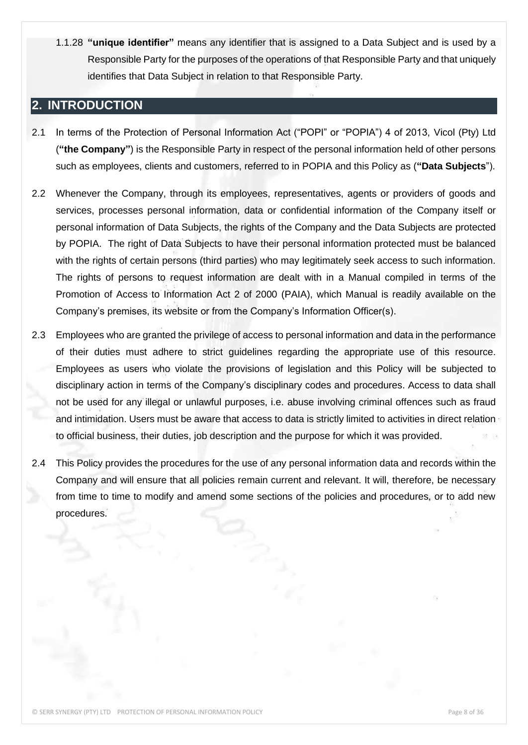1.1.28 **"unique identifier"** means any identifier that is assigned to a Data Subject and is used by a Responsible Party for the purposes of the operations of that Responsible Party and that uniquely identifies that Data Subject in relation to that Responsible Party.

#### **2. INTRODUCTION**

- 2.1 In terms of the Protection of Personal Information Act ("POPI" or "POPIA") 4 of 2013, Vicol (Pty) Ltd (**"the Company"**) is the Responsible Party in respect of the personal information held of other persons such as employees, clients and customers, referred to in POPIA and this Policy as (**"Data Subjects**").
- 2.2 Whenever the Company, through its employees, representatives, agents or providers of goods and services, processes personal information, data or confidential information of the Company itself or personal information of Data Subjects, the rights of the Company and the Data Subjects are protected by POPIA. The right of Data Subjects to have their personal information protected must be balanced with the rights of certain persons (third parties) who may legitimately seek access to such information. The rights of persons to request information are dealt with in a Manual compiled in terms of the Promotion of Access to Information Act 2 of 2000 (PAIA), which Manual is readily available on the Company's premises, its website or from the Company's Information Officer(s).
- 2.3 Employees who are granted the privilege of access to personal information and data in the performance of their duties must adhere to strict guidelines regarding the appropriate use of this resource. Employees as users who violate the provisions of legislation and this Policy will be subjected to disciplinary action in terms of the Company's disciplinary codes and procedures. Access to data shall not be used for any illegal or unlawful purposes, i.e. abuse involving criminal offences such as fraud and intimidation. Users must be aware that access to data is strictly limited to activities in direct relation to official business, their duties, job description and the purpose for which it was provided.
- 2.4 This Policy provides the procedures for the use of any personal information data and records within the Company and will ensure that all policies remain current and relevant. It will, therefore, be necessary from time to time to modify and amend some sections of the policies and procedures, or to add new procedures.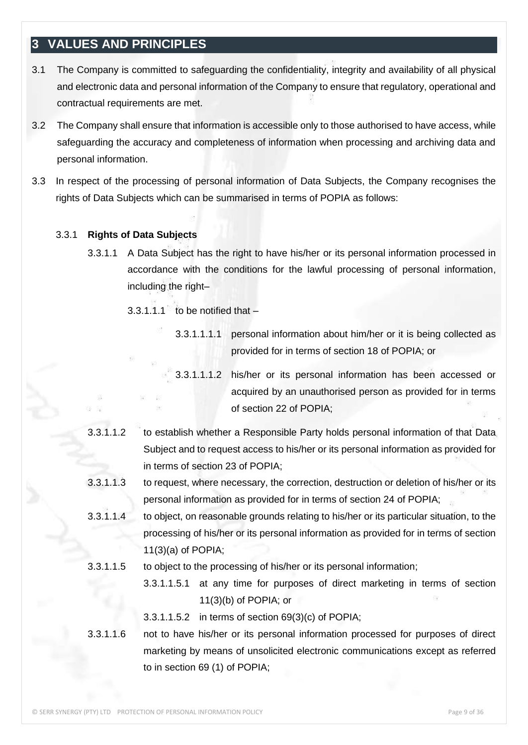#### **3 VALUES AND PRINCIPLES**

- 3.1 The Company is committed to safeguarding the confidentiality, integrity and availability of all physical and electronic data and personal information of the Company to ensure that regulatory, operational and contractual requirements are met.
- 3.2 The Company shall ensure that information is accessible only to those authorised to have access, while safeguarding the accuracy and completeness of information when processing and archiving data and personal information.
- 3.3 In respect of the processing of personal information of Data Subjects, the Company recognises the rights of Data Subjects which can be summarised in terms of POPIA as follows:

#### 3.3.1 **Rights of Data Subjects**

3.3.1.1 A Data Subject has the right to have his/her or its personal information processed in accordance with the conditions for the lawful processing of personal information, including the right–

 $3.3.1.1.1$  to be notified that  $-$ 

- 3.3.1.1.1.1 personal information about him/her or it is being collected as provided for in terms of section 18 of POPIA; or
- 3.3.1.1.1.2 his/her or its personal information has been accessed or acquired by an unauthorised person as provided for in terms of section 22 of POPIA;
- 3.3.1.1.2 to establish whether a Responsible Party holds personal information of that Data Subject and to request access to his/her or its personal information as provided for in terms of section 23 of POPIA;
- 3.3.1.1.3 to request, where necessary, the correction, destruction or deletion of his/her or its personal information as provided for in terms of section 24 of POPIA;
- 3.3.1.1.4 to object, on reasonable grounds relating to his/her or its particular situation, to the processing of his/her or its personal information as provided for in terms of section 11(3)(a) of POPIA;
- 3.3.1.1.5 to object to the processing of his/her or its personal information;
	- 3.3.1.1.5.1 at any time for purposes of direct marketing in terms of section 11(3)(b) of POPIA; or
	- 3.3.1.1.5.2 in terms of section 69(3)(c) of POPIA;

#### 3.3.1.1.6 not to have his/her or its personal information processed for purposes of direct marketing by means of unsolicited electronic communications except as referred to in section 69 (1) of POPIA;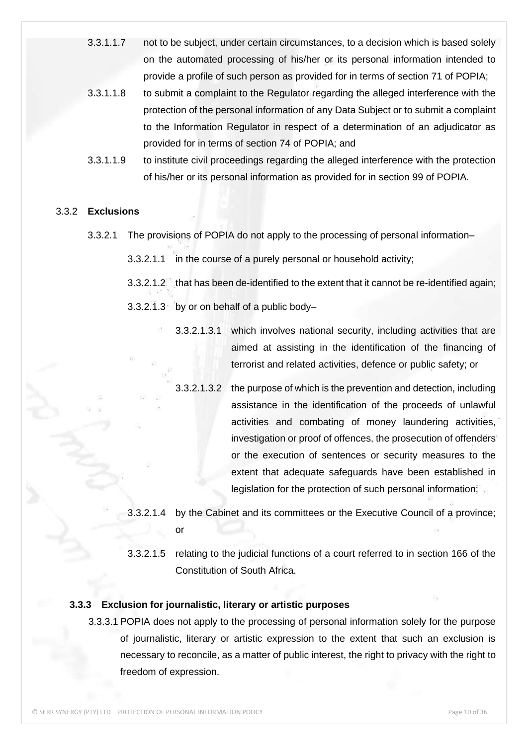- 3.3.1.1.7 not to be subject, under certain circumstances, to a decision which is based solely on the automated processing of his/her or its personal information intended to provide a profile of such person as provided for in terms of section 71 of POPIA;
- 3.3.1.1.8 to submit a complaint to the Regulator regarding the alleged interference with the protection of the personal information of any Data Subject or to submit a complaint to the Information Regulator in respect of a determination of an adjudicator as provided for in terms of section 74 of POPIA; and
- 3.3.1.1.9 to institute civil proceedings regarding the alleged interference with the protection of his/her or its personal information as provided for in section 99 of POPIA.

#### 3.3.2 **Exclusions**

- 3.3.2.1 The provisions of POPIA do not apply to the processing of personal information–
	- 3.3.2.1.1 in the course of a purely personal or household activity;
	- 3.3.2.1.2 that has been de-identified to the extent that it cannot be re-identified again;
	- 3.3.2.1.3 by or on behalf of a public body–
		- 3.3.2.1.3.1 which involves national security, including activities that are aimed at assisting in the identification of the financing of terrorist and related activities, defence or public safety; or
			- 3.3.2.1.3.2 the purpose of which is the prevention and detection, including assistance in the identification of the proceeds of unlawful activities and combating of money laundering activities, investigation or proof of offences, the prosecution of offenders or the execution of sentences or security measures to the extent that adequate safeguards have been established in legislation for the protection of such personal information;
	- 3.3.2.1.4 by the Cabinet and its committees or the Executive Council of a province; or
	- 3.3.2.1.5 relating to the judicial functions of a court referred to in section 166 of the Constitution of South Africa.

#### **3.3.3 Exclusion for journalistic, literary or artistic purposes**

3.3.3.1 POPIA does not apply to the processing of personal information solely for the purpose of journalistic, literary or artistic expression to the extent that such an exclusion is necessary to reconcile, as a matter of public interest, the right to privacy with the right to freedom of expression.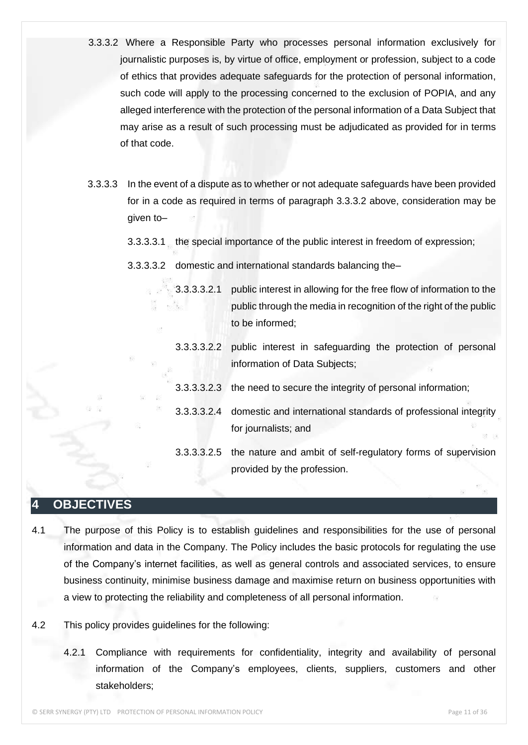- 3.3.3.2 Where a Responsible Party who processes personal information exclusively for journalistic purposes is, by virtue of office, employment or profession, subject to a code of ethics that provides adequate safeguards for the protection of personal information, such code will apply to the processing concerned to the exclusion of POPIA, and any alleged interference with the protection of the personal information of a Data Subject that may arise as a result of such processing must be adjudicated as provided for in terms of that code.
- 3.3.3.3 In the event of a dispute as to whether or not adequate safeguards have been provided for in a code as required in terms of paragraph 3.3.3.2 above, consideration may be given to–
	- 3.3.3.3.1 the special importance of the public interest in freedom of expression;
	- 3.3.3.3.2 domestic and international standards balancing the–
		- 3.3.3.3.2.1 public interest in allowing for the free flow of information to the public through the media in recognition of the right of the public to be informed;
		- 3.3.3.3.2.2 public interest in safeguarding the protection of personal information of Data Subjects;
		- 3.3.3.3.2.3 the need to secure the integrity of personal information;
		- 3.3.3.3.2.4 domestic and international standards of professional integrity for journalists; and
		- 3.3.3.3.2.5 the nature and ambit of self-regulatory forms of supervision provided by the profession.

#### **4 OBJECTIVES**

- 4.1 The purpose of this Policy is to establish guidelines and responsibilities for the use of personal information and data in the Company. The Policy includes the basic protocols for regulating the use of the Company's internet facilities, as well as general controls and associated services, to ensure business continuity, minimise business damage and maximise return on business opportunities with a view to protecting the reliability and completeness of all personal information.
- 4.2 This policy provides guidelines for the following:
	- 4.2.1 Compliance with requirements for confidentiality, integrity and availability of personal information of the Company's employees, clients, suppliers, customers and other stakeholders;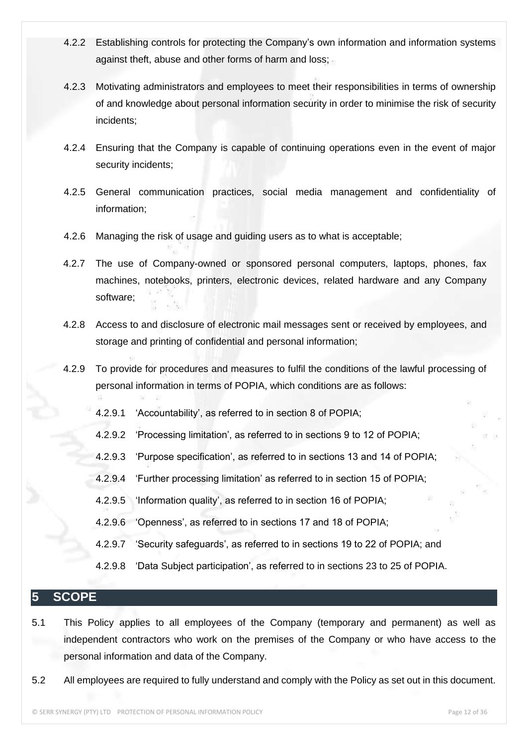- 4.2.2 Establishing controls for protecting the Company's own information and information systems against theft, abuse and other forms of harm and loss;
- 4.2.3 Motivating administrators and employees to meet their responsibilities in terms of ownership of and knowledge about personal information security in order to minimise the risk of security incidents;
- 4.2.4 Ensuring that the Company is capable of continuing operations even in the event of major security incidents;
- 4.2.5 General communication practices, social media management and confidentiality of information;
- 4.2.6 Managing the risk of usage and guiding users as to what is acceptable;
- 4.2.7 The use of Company-owned or sponsored personal computers, laptops, phones, fax machines, notebooks, printers, electronic devices, related hardware and any Company software;
- 4.2.8 Access to and disclosure of electronic mail messages sent or received by employees, and storage and printing of confidential and personal information;
- 4.2.9 To provide for procedures and measures to fulfil the conditions of the lawful processing of personal information in terms of POPIA, which conditions are as follows:
	- 4.2.9.1 'Accountability', as referred to in section 8 of POPIA;
	- 4.2.9.2 'Processing limitation', as referred to in sections 9 to 12 of POPIA;
	- 4.2.9.3 'Purpose specification', as referred to in sections 13 and 14 of POPIA;
	- 4.2.9.4 'Further processing limitation' as referred to in section 15 of POPIA;
	- 4.2.9.5 'Information quality', as referred to in section 16 of POPIA;
	- 4.2.9.6 'Openness', as referred to in sections 17 and 18 of POPIA;
	- 4.2.9.7 'Security safeguards', as referred to in sections 19 to 22 of POPIA; and
	- 4.2.9.8 'Data Subject participation', as referred to in sections 23 to 25 of POPIA.

#### **5 SCOPE**

- 5.1 This Policy applies to all employees of the Company (temporary and permanent) as well as independent contractors who work on the premises of the Company or who have access to the personal information and data of the Company.
- 5.2 All employees are required to fully understand and comply with the Policy as set out in this document.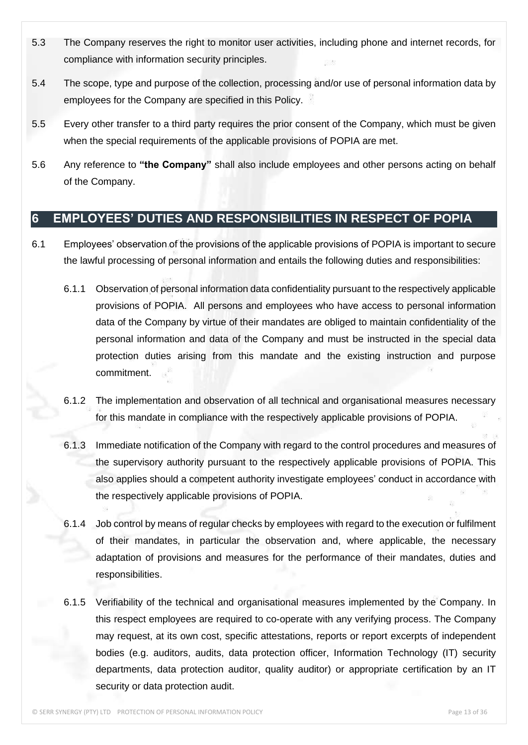- 5.3 The Company reserves the right to monitor user activities, including phone and internet records, for compliance with information security principles.
- 5.4 The scope, type and purpose of the collection, processing and/or use of personal information data by employees for the Company are specified in this Policy.
- 5.5 Every other transfer to a third party requires the prior consent of the Company, which must be given when the special requirements of the applicable provisions of POPIA are met.
- 5.6 Any reference to **"the Company"** shall also include employees and other persons acting on behalf of the Company.

#### **6 EMPLOYEES' DUTIES AND RESPONSIBILITIES IN RESPECT OF POPIA**

- 6.1 Employees' observation of the provisions of the applicable provisions of POPIA is important to secure the lawful processing of personal information and entails the following duties and responsibilities:
	- 6.1.1 Observation of personal information data confidentiality pursuant to the respectively applicable provisions of POPIA. All persons and employees who have access to personal information data of the Company by virtue of their mandates are obliged to maintain confidentiality of the personal information and data of the Company and must be instructed in the special data protection duties arising from this mandate and the existing instruction and purpose commitment.
	- 6.1.2 The implementation and observation of all technical and organisational measures necessary for this mandate in compliance with the respectively applicable provisions of POPIA.
	- 6.1.3 Immediate notification of the Company with regard to the control procedures and measures of the supervisory authority pursuant to the respectively applicable provisions of POPIA. This also applies should a competent authority investigate employees' conduct in accordance with the respectively applicable provisions of POPIA.
	- 6.1.4 Job control by means of regular checks by employees with regard to the execution or fulfilment of their mandates, in particular the observation and, where applicable, the necessary adaptation of provisions and measures for the performance of their mandates, duties and responsibilities.
	- 6.1.5 Verifiability of the technical and organisational measures implemented by the Company. In this respect employees are required to co-operate with any verifying process. The Company may request, at its own cost, specific attestations, reports or report excerpts of independent bodies (e.g. auditors, audits, data protection officer, Information Technology (IT) security departments, data protection auditor, quality auditor) or appropriate certification by an IT security or data protection audit.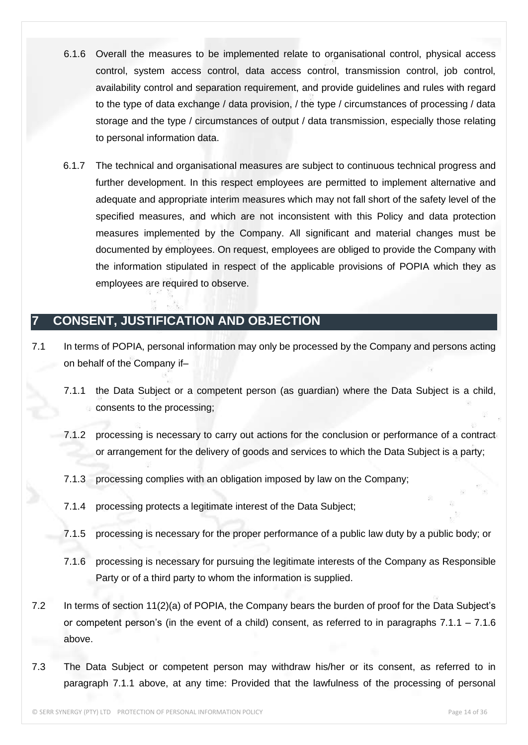- 6.1.6 Overall the measures to be implemented relate to organisational control, physical access control, system access control, data access control, transmission control, job control, availability control and separation requirement, and provide guidelines and rules with regard to the type of data exchange / data provision, / the type / circumstances of processing / data storage and the type / circumstances of output / data transmission, especially those relating to personal information data.
- 6.1.7 The technical and organisational measures are subject to continuous technical progress and further development. In this respect employees are permitted to implement alternative and adequate and appropriate interim measures which may not fall short of the safety level of the specified measures, and which are not inconsistent with this Policy and data protection measures implemented by the Company. All significant and material changes must be documented by employees. On request, employees are obliged to provide the Company with the information stipulated in respect of the applicable provisions of POPIA which they as employees are required to observe.

#### **7 CONSENT, JUSTIFICATION AND OBJECTION**

- 7.1 In terms of POPIA, personal information may only be processed by the Company and persons acting on behalf of the Company if–
	- 7.1.1 the Data Subject or a competent person (as guardian) where the Data Subject is a child, consents to the processing;
	- 7.1.2 processing is necessary to carry out actions for the conclusion or performance of a contract or arrangement for the delivery of goods and services to which the Data Subject is a party;
	- 7.1.3 processing complies with an obligation imposed by law on the Company;
	- 7.1.4 processing protects a legitimate interest of the Data Subject;
	- 7.1.5 processing is necessary for the proper performance of a public law duty by a public body; or
	- 7.1.6 processing is necessary for pursuing the legitimate interests of the Company as Responsible Party or of a third party to whom the information is supplied.
- 7.2 In terms of section 11(2)(a) of POPIA, the Company bears the burden of proof for the Data Subject's or competent person's (in the event of a child) consent, as referred to in paragraphs  $7.1.1 - 7.1.6$ above.
- 7.3 The Data Subject or competent person may withdraw his/her or its consent, as referred to in paragraph 7.1.1 above, at any time: Provided that the lawfulness of the processing of personal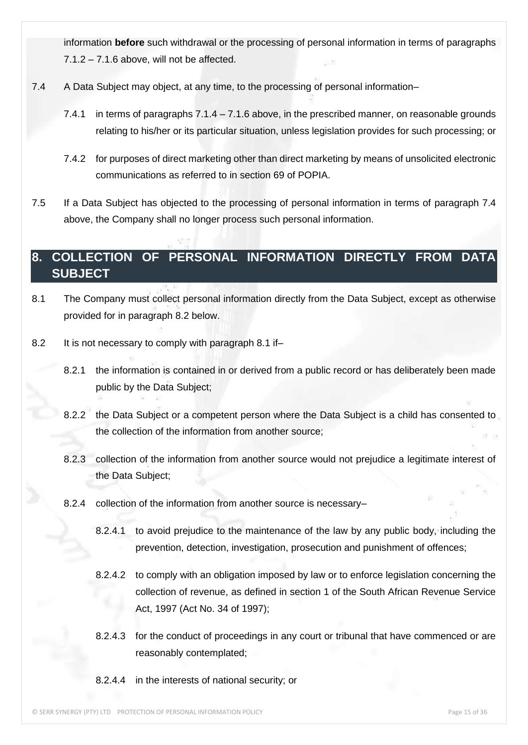information **before** such withdrawal or the processing of personal information in terms of paragraphs  $7.1.2 - 7.1.6$  above, will not be affected.

- 7.4 A Data Subject may object, at any time, to the processing of personal information–
	- 7.4.1 in terms of paragraphs 7.1.4 7.1.6 above, in the prescribed manner, on reasonable grounds relating to his/her or its particular situation, unless legislation provides for such processing; or
	- 7.4.2 for purposes of direct marketing other than direct marketing by means of unsolicited electronic communications as referred to in section 69 of POPIA.
- 7.5 If a Data Subject has objected to the processing of personal information in terms of paragraph 7.4 above, the Company shall no longer process such personal information.

#### **8. COLLECTION OF PERSONAL INFORMATION DIRECTLY FROM DATA SUBJECT**

- 8.1 The Company must collect personal information directly from the Data Subject, except as otherwise provided for in paragraph 8.2 below.
- 8.2 It is not necessary to comply with paragraph 8.1 if-
	- 8.2.1 the information is contained in or derived from a public record or has deliberately been made public by the Data Subject;
	- 8.2.2 the Data Subject or a competent person where the Data Subject is a child has consented to the collection of the information from another source;
	- 8.2.3 collection of the information from another source would not prejudice a legitimate interest of the Data Subject;
	- 8.2.4 collection of the information from another source is necessary–
		- 8.2.4.1 to avoid prejudice to the maintenance of the law by any public body, including the prevention, detection, investigation, prosecution and punishment of offences;
		- 8.2.4.2 to comply with an obligation imposed by law or to enforce legislation concerning the collection of revenue, as defined in section 1 of the South African Revenue Service Act, 1997 (Act No. 34 of 1997);
		- 8.2.4.3 for the conduct of proceedings in any court or tribunal that have commenced or are reasonably contemplated;
		- 8.2.4.4 in the interests of national security; or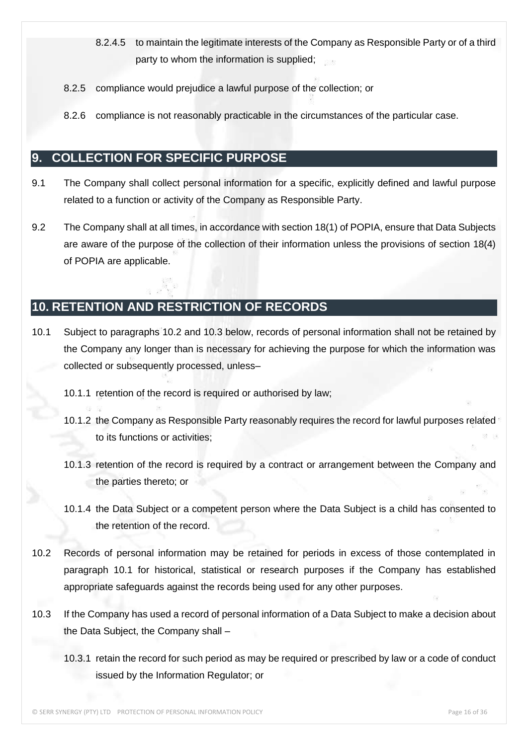- 8.2.4.5 to maintain the legitimate interests of the Company as Responsible Party or of a third party to whom the information is supplied;
- 8.2.5 compliance would prejudice a lawful purpose of the collection; or
- 8.2.6 compliance is not reasonably practicable in the circumstances of the particular case.

#### **9. COLLECTION FOR SPECIFIC PURPOSE**

- 9.1 The Company shall collect personal information for a specific, explicitly defined and lawful purpose related to a function or activity of the Company as Responsible Party.
- 9.2 The Company shall at all times, in accordance with section 18(1) of POPIA, ensure that Data Subjects are aware of the purpose of the collection of their information unless the provisions of section 18(4) of POPIA are applicable.

#### **10. RETENTION AND RESTRICTION OF RECORDS**

- 10.1 Subject to paragraphs 10.2 and 10.3 below, records of personal information shall not be retained by the Company any longer than is necessary for achieving the purpose for which the information was collected or subsequently processed, unless–
	- 10.1.1 retention of the record is required or authorised by law;
	- 10.1.2 the Company as Responsible Party reasonably requires the record for lawful purposes related to its functions or activities;
	- 10.1.3 retention of the record is required by a contract or arrangement between the Company and the parties thereto; or
	- 10.1.4 the Data Subject or a competent person where the Data Subject is a child has consented to the retention of the record.
- 10.2 Records of personal information may be retained for periods in excess of those contemplated in paragraph 10.1 for historical, statistical or research purposes if the Company has established appropriate safeguards against the records being used for any other purposes.
- 10.3 If the Company has used a record of personal information of a Data Subject to make a decision about the Data Subject, the Company shall –
	- 10.3.1 retain the record for such period as may be required or prescribed by law or a code of conduct issued by the Information Regulator; or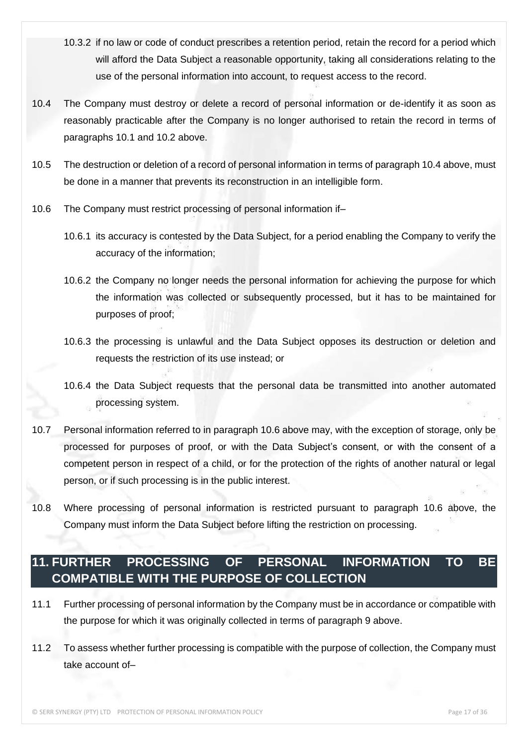- 10.3.2 if no law or code of conduct prescribes a retention period, retain the record for a period which will afford the Data Subject a reasonable opportunity, taking all considerations relating to the use of the personal information into account, to request access to the record.
- 10.4 The Company must destroy or delete a record of personal information or de-identify it as soon as reasonably practicable after the Company is no longer authorised to retain the record in terms of paragraphs 10.1 and 10.2 above.
- 10.5 The destruction or deletion of a record of personal information in terms of paragraph 10.4 above, must be done in a manner that prevents its reconstruction in an intelligible form.
- 10.6 The Company must restrict processing of personal information if–
	- 10.6.1 its accuracy is contested by the Data Subject, for a period enabling the Company to verify the accuracy of the information;
	- 10.6.2 the Company no longer needs the personal information for achieving the purpose for which the information was collected or subsequently processed, but it has to be maintained for purposes of proof;
	- 10.6.3 the processing is unlawful and the Data Subject opposes its destruction or deletion and requests the restriction of its use instead; or
	- 10.6.4 the Data Subject requests that the personal data be transmitted into another automated processing system.
- 10.7 Personal information referred to in paragraph 10.6 above may, with the exception of storage, only be processed for purposes of proof, or with the Data Subject's consent, or with the consent of a competent person in respect of a child, or for the protection of the rights of another natural or legal person, or if such processing is in the public interest.
- 10.8 Where processing of personal information is restricted pursuant to paragraph 10.6 above, the Company must inform the Data Subject before lifting the restriction on processing.

#### **11. FURTHER PROCESSING OF PERSONAL INFORMATION TO BE COMPATIBLE WITH THE PURPOSE OF COLLECTION**

- 11.1 Further processing of personal information by the Company must be in accordance or compatible with the purpose for which it was originally collected in terms of paragraph 9 above.
- 11.2 To assess whether further processing is compatible with the purpose of collection, the Company must take account of–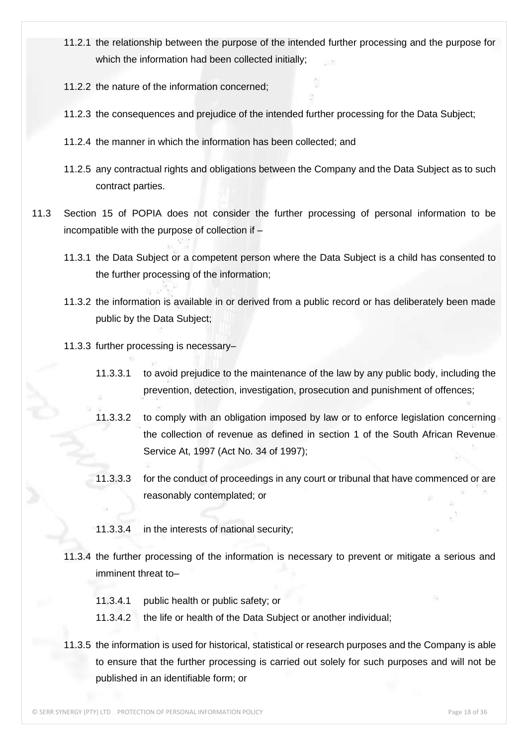- 11.2.1 the relationship between the purpose of the intended further processing and the purpose for which the information had been collected initially;
- 11.2.2 the nature of the information concerned;
- 11.2.3 the consequences and prejudice of the intended further processing for the Data Subject;
- 11.2.4 the manner in which the information has been collected; and
- 11.2.5 any contractual rights and obligations between the Company and the Data Subject as to such contract parties.
- 11.3 Section 15 of POPIA does not consider the further processing of personal information to be incompatible with the purpose of collection if –
	- 11.3.1 the Data Subject or a competent person where the Data Subject is a child has consented to the further processing of the information;
	- 11.3.2 the information is available in or derived from a public record or has deliberately been made public by the Data Subject;
	- 11.3.3 further processing is necessary–
		- 11.3.3.1 to avoid prejudice to the maintenance of the law by any public body, including the prevention, detection, investigation, prosecution and punishment of offences;
		- 11.3.3.2 to comply with an obligation imposed by law or to enforce legislation concerning the collection of revenue as defined in section 1 of the South African Revenue Service At, 1997 (Act No. 34 of 1997);
		- 11.3.3.3 for the conduct of proceedings in any court or tribunal that have commenced or are reasonably contemplated; or
		- 11.3.3.4 in the interests of national security;
	- 11.3.4 the further processing of the information is necessary to prevent or mitigate a serious and imminent threat to–
		- 11.3.4.1 public health or public safety; or
		- 11.3.4.2 the life or health of the Data Subject or another individual;
	- 11.3.5 the information is used for historical, statistical or research purposes and the Company is able to ensure that the further processing is carried out solely for such purposes and will not be published in an identifiable form; or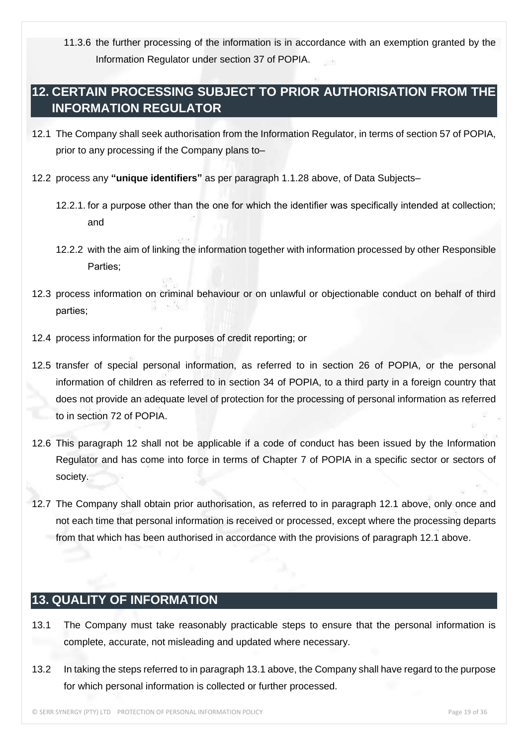11.3.6 the further processing of the information is in accordance with an exemption granted by the Information Regulator under section 37 of POPIA.

#### **12. CERTAIN PROCESSING SUBJECT TO PRIOR AUTHORISATION FROM THE INFORMATION REGULATOR**

- 12.1 The Company shall seek authorisation from the Information Regulator, in terms of section 57 of POPIA, prior to any processing if the Company plans to–
- 12.2 process any **"unique identifiers"** as per paragraph 1.1.28 above, of Data Subjects–
	- 12.2.1. for a purpose other than the one for which the identifier was specifically intended at collection; and
	- 12.2.2 with the aim of linking the information together with information processed by other Responsible Parties;
- 12.3 process information on criminal behaviour or on unlawful or objectionable conduct on behalf of third parties;
- 12.4 process information for the purposes of credit reporting; or
- 12.5 transfer of special personal information, as referred to in section 26 of POPIA, or the personal information of children as referred to in section 34 of POPIA, to a third party in a foreign country that does not provide an adequate level of protection for the processing of personal information as referred to in section 72 of POPIA.
- 12.6 This paragraph 12 shall not be applicable if a code of conduct has been issued by the Information Regulator and has come into force in terms of Chapter 7 of POPIA in a specific sector or sectors of society.
- 12.7 The Company shall obtain prior authorisation, as referred to in paragraph 12.1 above, only once and not each time that personal information is received or processed, except where the processing departs from that which has been authorised in accordance with the provisions of paragraph 12.1 above.

#### **13. QUALITY OF INFORMATION**

- 13.1 The Company must take reasonably practicable steps to ensure that the personal information is complete, accurate, not misleading and updated where necessary.
- 13.2 In taking the steps referred to in paragraph 13.1 above, the Company shall have regard to the purpose for which personal information is collected or further processed.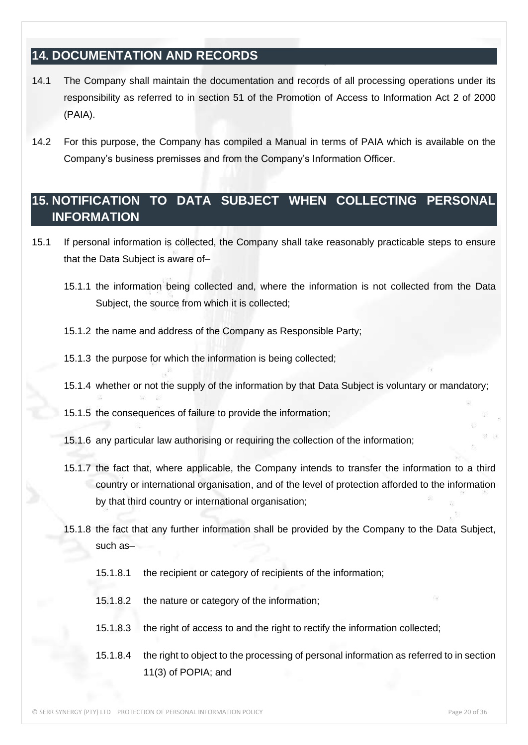#### **14. DOCUMENTATION AND RECORDS**

- 14.1 The Company shall maintain the documentation and records of all processing operations under its responsibility as referred to in section 51 of the Promotion of Access to Information Act 2 of 2000 (PAIA).
- 14.2 For this purpose, the Company has compiled a Manual in terms of PAIA which is available on the Company's business premisses and from the Company's Information Officer.

#### **15. NOTIFICATION TO DATA SUBJECT WHEN COLLECTING PERSONAL INFORMATION**

- 15.1 If personal information is collected, the Company shall take reasonably practicable steps to ensure that the Data Subject is aware of–
	- 15.1.1 the information being collected and, where the information is not collected from the Data Subject, the source from which it is collected;
	- 15.1.2 the name and address of the Company as Responsible Party;
	- 15.1.3 the purpose for which the information is being collected;
	- 15.1.4 whether or not the supply of the information by that Data Subject is voluntary or mandatory;
	- 15.1.5 the consequences of failure to provide the information;
	- 15.1.6 any particular law authorising or requiring the collection of the information;
	- 15.1.7 the fact that, where applicable, the Company intends to transfer the information to a third country or international organisation, and of the level of protection afforded to the information by that third country or international organisation;
	- 15.1.8 the fact that any further information shall be provided by the Company to the Data Subject, such as–
		- 15.1.8.1 the recipient or category of recipients of the information;
		- 15.1.8.2 the nature or category of the information;
		- 15.1.8.3 the right of access to and the right to rectify the information collected;
		- 15.1.8.4 the right to object to the processing of personal information as referred to in section 11(3) of POPIA; and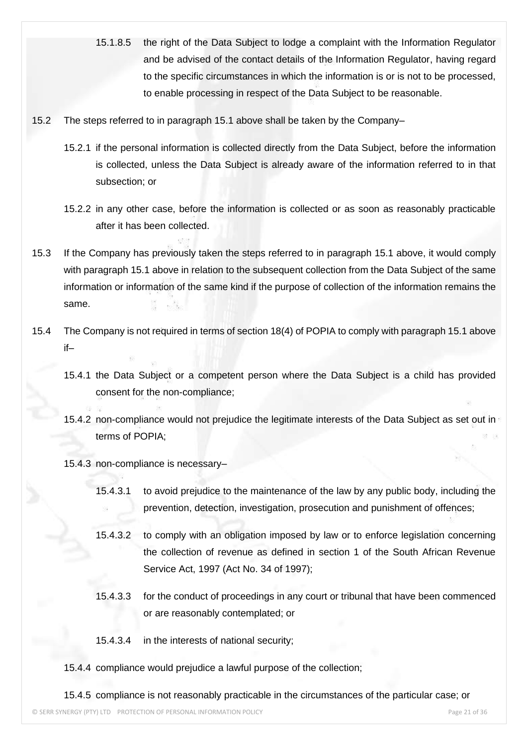- 15.1.8.5 the right of the Data Subject to lodge a complaint with the Information Regulator and be advised of the contact details of the Information Regulator, having regard to the specific circumstances in which the information is or is not to be processed, to enable processing in respect of the Data Subject to be reasonable.
- 15.2 The steps referred to in paragraph 15.1 above shall be taken by the Company–
	- 15.2.1 if the personal information is collected directly from the Data Subject, before the information is collected, unless the Data Subject is already aware of the information referred to in that subsection; or
	- 15.2.2 in any other case, before the information is collected or as soon as reasonably practicable after it has been collected.
- 15.3 If the Company has previously taken the steps referred to in paragraph 15.1 above, it would comply with paragraph 15.1 above in relation to the subsequent collection from the Data Subject of the same information or information of the same kind if the purpose of collection of the information remains the same.
- 15.4 The Company is not required in terms of section 18(4) of POPIA to comply with paragraph 15.1 above if–
	- 15.4.1 the Data Subject or a competent person where the Data Subject is a child has provided consent for the non-compliance;
	- 15.4.2 non-compliance would not prejudice the legitimate interests of the Data Subject as set out in terms of POPIA;
	- 15.4.3 non-compliance is necessary–
		- 15.4.3.1 to avoid prejudice to the maintenance of the law by any public body, including the prevention, detection, investigation, prosecution and punishment of offences;
		- 15.4.3.2 to comply with an obligation imposed by law or to enforce legislation concerning the collection of revenue as defined in section 1 of the South African Revenue Service Act, 1997 (Act No. 34 of 1997);
		- 15.4.3.3 for the conduct of proceedings in any court or tribunal that have been commenced or are reasonably contemplated; or
		- 15.4.3.4 in the interests of national security;
	- 15.4.4 compliance would prejudice a lawful purpose of the collection;

15.4.5 compliance is not reasonably practicable in the circumstances of the particular case; or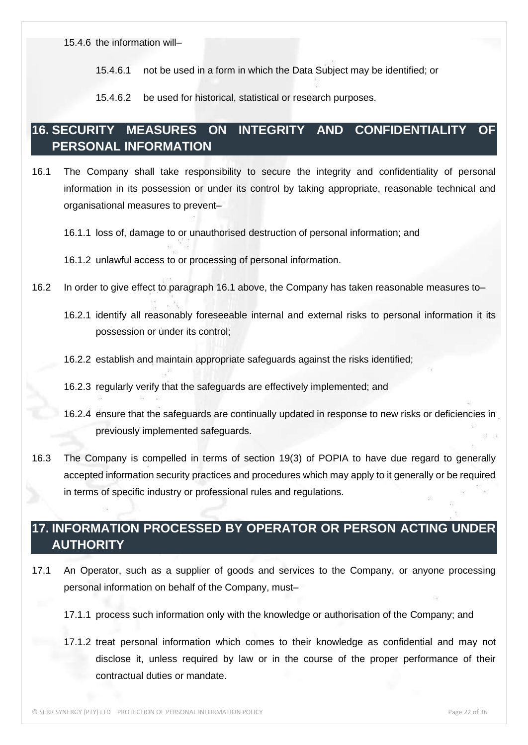15.4.6 the information will–

15.4.6.1 not be used in a form in which the Data Subject may be identified; or

15.4.6.2 be used for historical, statistical or research purposes.

#### **16. SECURITY MEASURES ON INTEGRITY AND CONFIDENTIALITY OF PERSONAL INFORMATION**

16.1 The Company shall take responsibility to secure the integrity and confidentiality of personal information in its possession or under its control by taking appropriate, reasonable technical and organisational measures to prevent–

16.1.1 loss of, damage to or unauthorised destruction of personal information; and

- 16.2 In order to give effect to paragraph 16.1 above, the Company has taken reasonable measures to–
	- 16.2.1 identify all reasonably foreseeable internal and external risks to personal information it its possession or under its control;
	- 16.2.2 establish and maintain appropriate safeguards against the risks identified;
	- 16.2.3 regularly verify that the safeguards are effectively implemented; and
	- 16.2.4 ensure that the safeguards are continually updated in response to new risks or deficiencies in previously implemented safeguards.
- 16.3 The Company is compelled in terms of section 19(3) of POPIA to have due regard to generally accepted information security practices and procedures which may apply to it generally or be required in terms of specific industry or professional rules and regulations.

#### **17. INFORMATION PROCESSED BY OPERATOR OR PERSON ACTING UNDER AUTHORITY**

- 17.1 An Operator, such as a supplier of goods and services to the Company, or anyone processing personal information on behalf of the Company, must–
	- 17.1.1 process such information only with the knowledge or authorisation of the Company; and
	- 17.1.2 treat personal information which comes to their knowledge as confidential and may not disclose it, unless required by law or in the course of the proper performance of their contractual duties or mandate.

<sup>16.1.2</sup> unlawful access to or processing of personal information.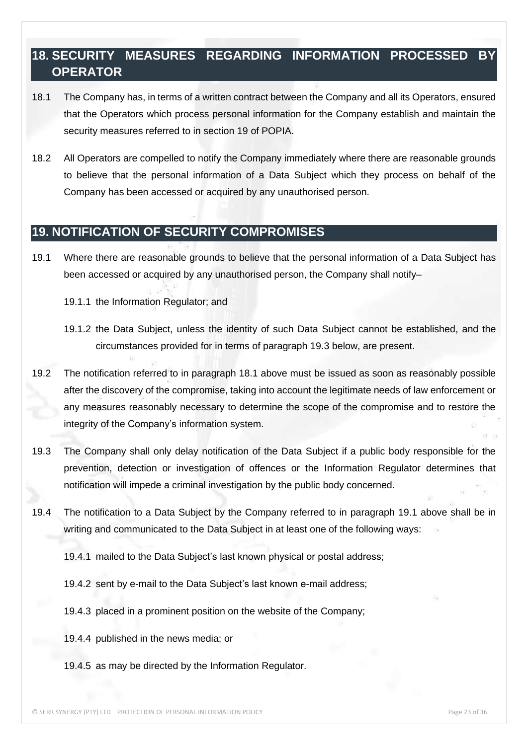#### **18. SECURITY MEASURES REGARDING INFORMATION PROCESSED BY OPERATOR**

- 18.1 The Company has, in terms of a written contract between the Company and all its Operators, ensured that the Operators which process personal information for the Company establish and maintain the security measures referred to in section 19 of POPIA.
- 18.2 All Operators are compelled to notify the Company immediately where there are reasonable grounds to believe that the personal information of a Data Subject which they process on behalf of the Company has been accessed or acquired by any unauthorised person.

#### **19. NOTIFICATION OF SECURITY COMPROMISES**

- 19.1 Where there are reasonable grounds to believe that the personal information of a Data Subject has been accessed or acquired by any unauthorised person, the Company shall notify–
	- 19.1.1 the Information Regulator; and
	- 19.1.2 the Data Subject, unless the identity of such Data Subject cannot be established, and the circumstances provided for in terms of paragraph 19.3 below, are present.
- 19.2 The notification referred to in paragraph 18.1 above must be issued as soon as reasonably possible after the discovery of the compromise, taking into account the legitimate needs of law enforcement or any measures reasonably necessary to determine the scope of the compromise and to restore the integrity of the Company's information system.
- 19.3 The Company shall only delay notification of the Data Subject if a public body responsible for the prevention, detection or investigation of offences or the Information Regulator determines that notification will impede a criminal investigation by the public body concerned.
- 19.4 The notification to a Data Subject by the Company referred to in paragraph 19.1 above shall be in writing and communicated to the Data Subject in at least one of the following ways:
	- 19.4.1 mailed to the Data Subject's last known physical or postal address;
	- 19.4.2 sent by e-mail to the Data Subject's last known e-mail address;
	- 19.4.3 placed in a prominent position on the website of the Company;
	- 19.4.4 published in the news media; or
	- 19.4.5 as may be directed by the Information Regulator.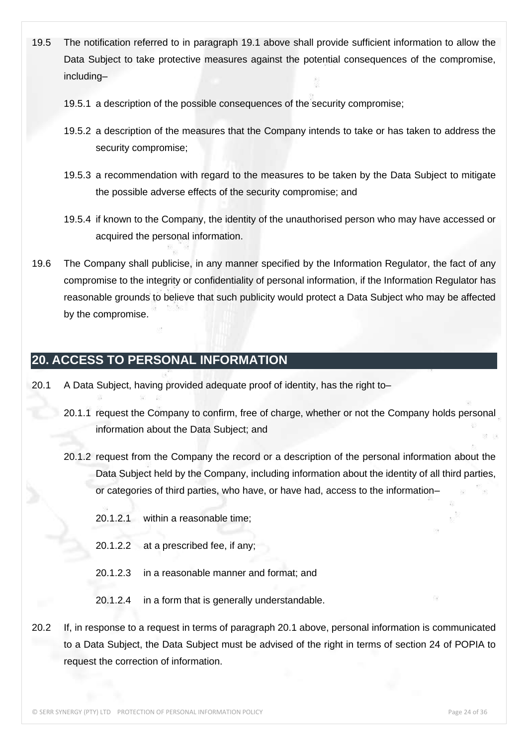- 19.5 The notification referred to in paragraph 19.1 above shall provide sufficient information to allow the Data Subject to take protective measures against the potential consequences of the compromise, including–
	- 19.5.1 a description of the possible consequences of the security compromise;
	- 19.5.2 a description of the measures that the Company intends to take or has taken to address the security compromise;
	- 19.5.3 a recommendation with regard to the measures to be taken by the Data Subject to mitigate the possible adverse effects of the security compromise; and
	- 19.5.4 if known to the Company, the identity of the unauthorised person who may have accessed or acquired the personal information.
- 19.6 The Company shall publicise, in any manner specified by the Information Regulator, the fact of any compromise to the integrity or confidentiality of personal information, if the Information Regulator has reasonable grounds to believe that such publicity would protect a Data Subject who may be affected by the compromise.

## **20. ACCESS TO PERSONAL INFORMATION**

- 20.1 A Data Subject, having provided adequate proof of identity, has the right to–
	- 20.1.1 request the Company to confirm, free of charge, whether or not the Company holds personal information about the Data Subject; and
	- 20.1.2 request from the Company the record or a description of the personal information about the Data Subject held by the Company, including information about the identity of all third parties, or categories of third parties, who have, or have had, access to the information–
		- 20.1.2.1 within a reasonable time;
		- 20.1.2.2 at a prescribed fee, if any;
		- 20.1.2.3 in a reasonable manner and format; and
		- 20.1.2.4 in a form that is generally understandable.
- 20.2 If, in response to a request in terms of paragraph 20.1 above, personal information is communicated to a Data Subject, the Data Subject must be advised of the right in terms of section 24 of POPIA to request the correction of information.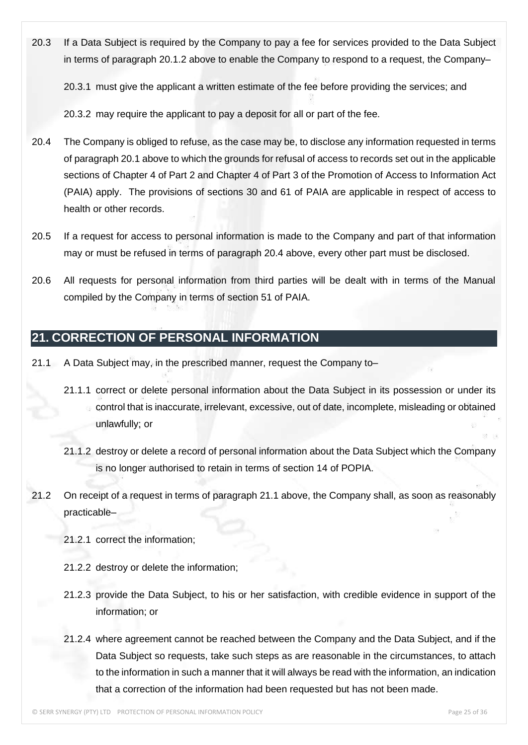20.3 If a Data Subject is required by the Company to pay a fee for services provided to the Data Subject in terms of paragraph 20.1.2 above to enable the Company to respond to a request, the Company–

20.3.1 must give the applicant a written estimate of the fee before providing the services; and

20.3.2 may require the applicant to pay a deposit for all or part of the fee.

- 20.4 The Company is obliged to refuse, as the case may be, to disclose any information requested in terms of paragraph 20.1 above to which the grounds for refusal of access to records set out in the applicable sections of Chapter 4 of Part 2 and Chapter 4 of Part 3 of the Promotion of Access to Information Act (PAIA) apply. The provisions of sections 30 and 61 of PAIA are applicable in respect of access to health or other records.
- 20.5 If a request for access to personal information is made to the Company and part of that information may or must be refused in terms of paragraph 20.4 above, every other part must be disclosed.
- 20.6 All requests for personal information from third parties will be dealt with in terms of the Manual compiled by the Company in terms of section 51 of PAIA.

#### **21. CORRECTION OF PERSONAL INFORMATION**

- 21.1 A Data Subject may, in the prescribed manner, request the Company to–
	- 21.1.1 correct or delete personal information about the Data Subject in its possession or under its control that is inaccurate, irrelevant, excessive, out of date, incomplete, misleading or obtained unlawfully; or
	- 21.1.2 destroy or delete a record of personal information about the Data Subject which the Company is no longer authorised to retain in terms of section 14 of POPIA.
- 21.2 On receipt of a request in terms of paragraph 21.1 above, the Company shall, as soon as reasonably practicable–
	- 21.2.1 correct the information;
	- 21.2.2 destroy or delete the information;
	- 21.2.3 provide the Data Subject, to his or her satisfaction, with credible evidence in support of the information; or
	- 21.2.4 where agreement cannot be reached between the Company and the Data Subject, and if the Data Subject so requests, take such steps as are reasonable in the circumstances, to attach to the information in such a manner that it will always be read with the information, an indication that a correction of the information had been requested but has not been made.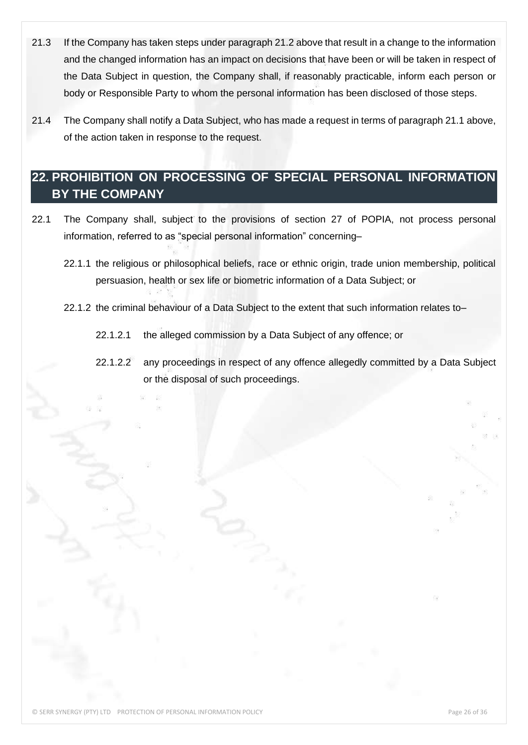- 21.3 If the Company has taken steps under paragraph 21.2 above that result in a change to the information and the changed information has an impact on decisions that have been or will be taken in respect of the Data Subject in question, the Company shall, if reasonably practicable, inform each person or body or Responsible Party to whom the personal information has been disclosed of those steps.
- 21.4 The Company shall notify a Data Subject, who has made a request in terms of paragraph 21.1 above, of the action taken in response to the request.

#### **22. PROHIBITION ON PROCESSING OF SPECIAL PERSONAL INFORMATION BY THE COMPANY**

- 22.1 The Company shall, subject to the provisions of section 27 of POPIA, not process personal information, referred to as "special personal information" concerning–
	- 22.1.1 the religious or philosophical beliefs, race or ethnic origin, trade union membership, political persuasion, health or sex life or biometric information of a Data Subject; or
	- 22.1.2 the criminal behaviour of a Data Subject to the extent that such information relates to–
		- 22.1.2.1 the alleged commission by a Data Subject of any offence; or
		- 22.1.2.2 any proceedings in respect of any offence allegedly committed by a Data Subject or the disposal of such proceedings.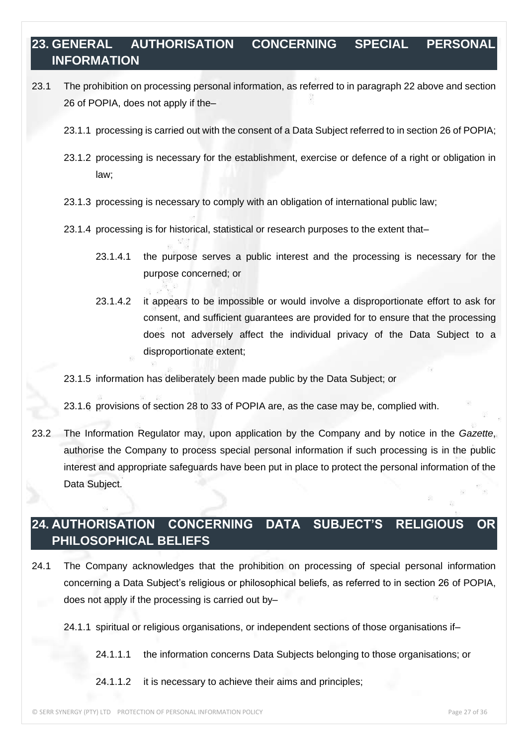## **23. GENERAL AUTHORISATION CONCERNING SPECIAL PERSONAL INFORMATION**

- 23.1 The prohibition on processing personal information, as referred to in paragraph 22 above and section 26 of POPIA, does not apply if the–
	- 23.1.1 processing is carried out with the consent of a Data Subject referred to in section 26 of POPIA;
	- 23.1.2 processing is necessary for the establishment, exercise or defence of a right or obligation in law;
	- 23.1.3 processing is necessary to comply with an obligation of international public law;
	- 23.1.4 processing is for historical, statistical or research purposes to the extent that–
		- 23.1.4.1 the purpose serves a public interest and the processing is necessary for the purpose concerned; or
		- 23.1.4.2 it appears to be impossible or would involve a disproportionate effort to ask for consent, and sufficient guarantees are provided for to ensure that the processing does not adversely affect the individual privacy of the Data Subject to a disproportionate extent;

23.1.5 information has deliberately been made public by the Data Subject; or

23.1.6 provisions of section 28 to 33 of POPIA are, as the case may be, complied with.

23.2 The Information Regulator may, upon application by the Company and by notice in the *Gazette*, authorise the Company to process special personal information if such processing is in the public interest and appropriate safeguards have been put in place to protect the personal information of the Data Subject.

#### **24. AUTHORISATION CONCERNING DATA SUBJECT'S RELIGIOUS OR PHILOSOPHICAL BELIEFS**

- 24.1 The Company acknowledges that the prohibition on processing of special personal information concerning a Data Subject's religious or philosophical beliefs, as referred to in section 26 of POPIA, does not apply if the processing is carried out by–
	- 24.1.1 spiritual or religious organisations, or independent sections of those organisations if–
		- 24.1.1.1 the information concerns Data Subjects belonging to those organisations; or

24.1.1.2 it is necessary to achieve their aims and principles;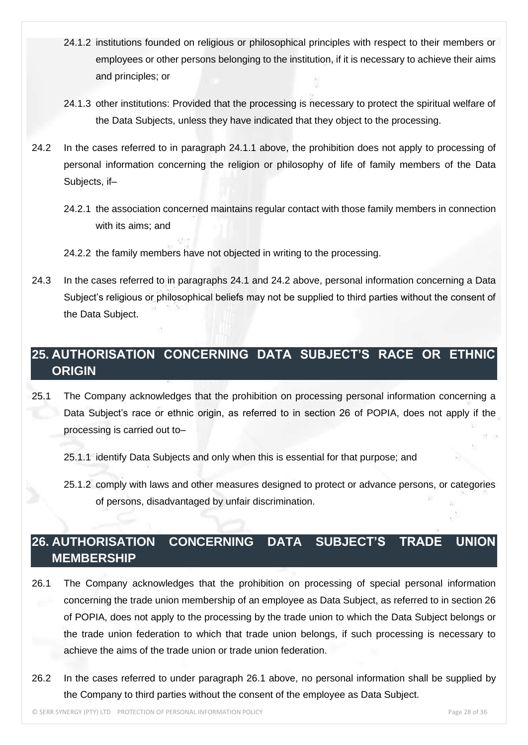- 24.1.2 institutions founded on religious or philosophical principles with respect to their members or employees or other persons belonging to the institution, if it is necessary to achieve their aims and principles; or
- 24.1.3 other institutions: Provided that the processing is necessary to protect the spiritual welfare of the Data Subjects, unless they have indicated that they object to the processing.
- 24.2 In the cases referred to in paragraph 24.1.1 above, the prohibition does not apply to processing of personal information concerning the religion or philosophy of life of family members of the Data Subjects, if–
	- 24.2.1 the association concerned maintains regular contact with those family members in connection with its aims; and
	- 24.2.2 the family members have not objected in writing to the processing.
- 24.3 In the cases referred to in paragraphs 24.1 and 24.2 above, personal information concerning a Data Subject's religious or philosophical beliefs may not be supplied to third parties without the consent of the Data Subject.

## **25. AUTHORISATION CONCERNING DATA SUBJECT'S RACE OR ETHNIC ORIGIN**

25.1 The Company acknowledges that the prohibition on processing personal information concerning a Data Subject's race or ethnic origin, as referred to in section 26 of POPIA, does not apply if the processing is carried out to–

25.1.1 identify Data Subjects and only when this is essential for that purpose; and

25.1.2 comply with laws and other measures designed to protect or advance persons, or categories of persons, disadvantaged by unfair discrimination.

## **26. AUTHORISATION CONCERNING DATA SUBJECT'S TRADE UNION MEMBERSHIP**

- 26.1 The Company acknowledges that the prohibition on processing of special personal information concerning the trade union membership of an employee as Data Subject, as referred to in section 26 of POPIA, does not apply to the processing by the trade union to which the Data Subject belongs or the trade union federation to which that trade union belongs, if such processing is necessary to achieve the aims of the trade union or trade union federation.
- 26.2 In the cases referred to under paragraph 26.1 above, no personal information shall be supplied by the Company to third parties without the consent of the employee as Data Subject.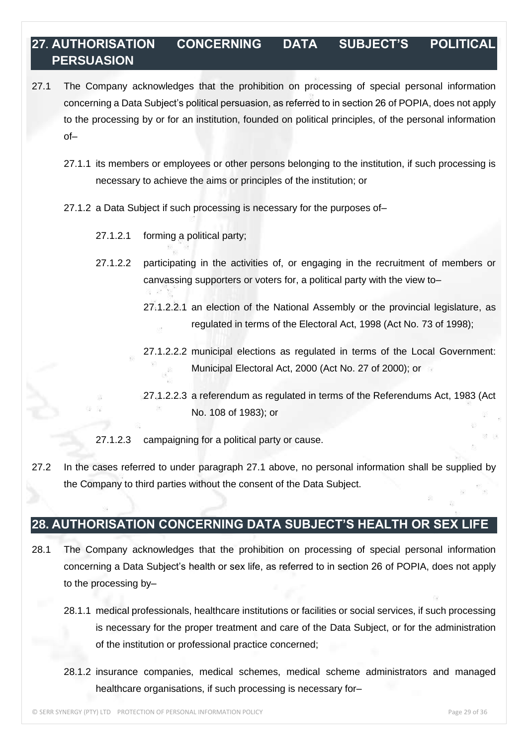## **27. AUTHORISATION CONCERNING DATA SUBJECT'S POLITICAL PERSUASION**

- 27.1 The Company acknowledges that the prohibition on processing of special personal information concerning a Data Subject's political persuasion, as referred to in section 26 of POPIA, does not apply to the processing by or for an institution, founded on political principles, of the personal information of–
	- 27.1.1 its members or employees or other persons belonging to the institution, if such processing is necessary to achieve the aims or principles of the institution; or
	- 27.1.2 a Data Subject if such processing is necessary for the purposes of–
		- 27.1.2.1 forming a political party;
		- 27.1.2.2 participating in the activities of, or engaging in the recruitment of members or canvassing supporters or voters for, a political party with the view to–
			- 27.1.2.2.1 an election of the National Assembly or the provincial legislature, as regulated in terms of the Electoral Act, 1998 (Act No. 73 of 1998);
			- 27.1.2.2.2 municipal elections as regulated in terms of the Local Government: Municipal Electoral Act, 2000 (Act No. 27 of 2000); or
			- 27.1.2.2.3 a referendum as regulated in terms of the Referendums Act, 1983 (Act No. 108 of 1983); or

27.1.2.3 campaigning for a political party or cause.

27.2 In the cases referred to under paragraph 27.1 above, no personal information shall be supplied by the Company to third parties without the consent of the Data Subject.

#### **28. AUTHORISATION CONCERNING DATA SUBJECT'S HEALTH OR SEX LIFE**

- 28.1 The Company acknowledges that the prohibition on processing of special personal information concerning a Data Subject's health or sex life, as referred to in section 26 of POPIA, does not apply to the processing by–
	- 28.1.1 medical professionals, healthcare institutions or facilities or social services, if such processing is necessary for the proper treatment and care of the Data Subject, or for the administration of the institution or professional practice concerned;
	- 28.1.2 insurance companies, medical schemes, medical scheme administrators and managed healthcare organisations, if such processing is necessary for-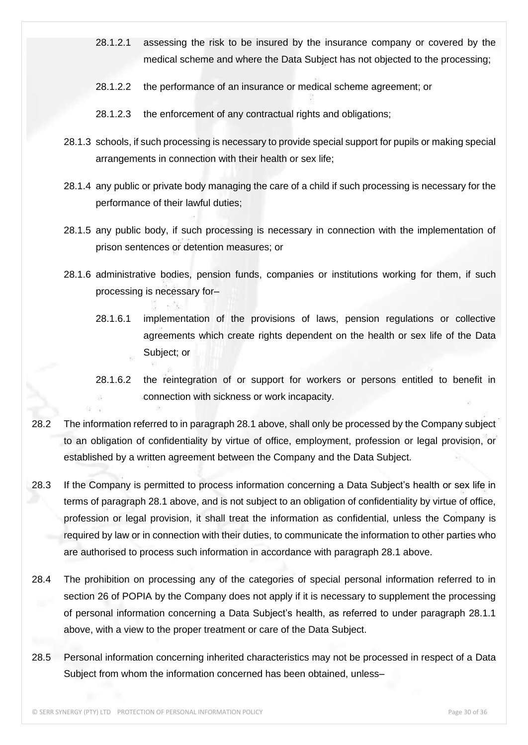- 28.1.2.1 assessing the risk to be insured by the insurance company or covered by the medical scheme and where the Data Subject has not objected to the processing;
- 28.1.2.2 the performance of an insurance or medical scheme agreement; or
- 28.1.2.3 the enforcement of any contractual rights and obligations;
- 28.1.3 schools, if such processing is necessary to provide special support for pupils or making special arrangements in connection with their health or sex life;
- 28.1.4 any public or private body managing the care of a child if such processing is necessary for the performance of their lawful duties;
- 28.1.5 any public body, if such processing is necessary in connection with the implementation of prison sentences or detention measures; or
- 28.1.6 administrative bodies, pension funds, companies or institutions working for them, if such processing is necessary for–
	- 28.1.6.1 implementation of the provisions of laws, pension regulations or collective agreements which create rights dependent on the health or sex life of the Data Subject; or
	- 28.1.6.2 the reintegration of or support for workers or persons entitled to benefit in connection with sickness or work incapacity.
- 28.2 The information referred to in paragraph 28.1 above, shall only be processed by the Company subject to an obligation of confidentiality by virtue of office, employment, profession or legal provision, or established by a written agreement between the Company and the Data Subject.
- 28.3 If the Company is permitted to process information concerning a Data Subject's health or sex life in terms of paragraph 28.1 above, and is not subject to an obligation of confidentiality by virtue of office, profession or legal provision, it shall treat the information as confidential, unless the Company is required by law or in connection with their duties, to communicate the information to other parties who are authorised to process such information in accordance with paragraph 28.1 above.
- 28.4 The prohibition on processing any of the categories of special personal information referred to in section 26 of POPIA by the Company does not apply if it is necessary to supplement the processing of personal information concerning a Data Subject's health, as referred to under paragraph 28.1.1 above, with a view to the proper treatment or care of the Data Subject.
- 28.5 Personal information concerning inherited characteristics may not be processed in respect of a Data Subject from whom the information concerned has been obtained, unless–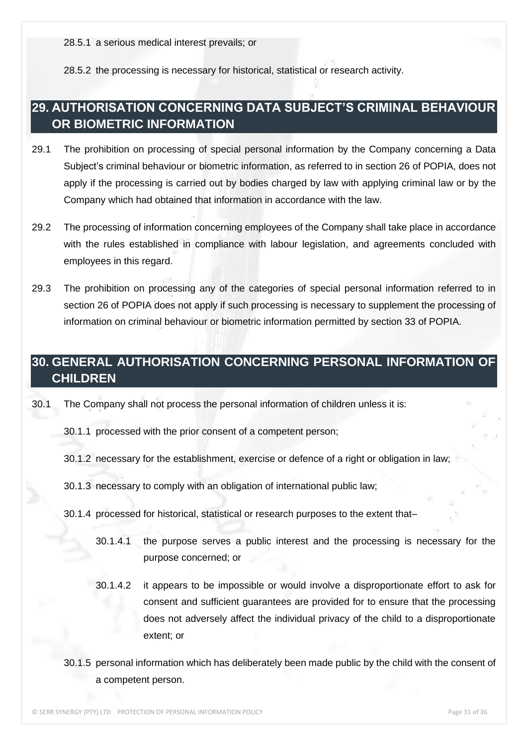28.5.2 the processing is necessary for historical, statistical or research activity.

#### **29. AUTHORISATION CONCERNING DATA SUBJECT'S CRIMINAL BEHAVIOUR OR BIOMETRIC INFORMATION**

- 29.1 The prohibition on processing of special personal information by the Company concerning a Data Subject's criminal behaviour or biometric information, as referred to in section 26 of POPIA, does not apply if the processing is carried out by bodies charged by law with applying criminal law or by the Company which had obtained that information in accordance with the law.
- 29.2 The processing of information concerning employees of the Company shall take place in accordance with the rules established in compliance with labour legislation, and agreements concluded with employees in this regard.
- 29.3 The prohibition on processing any of the categories of special personal information referred to in section 26 of POPIA does not apply if such processing is necessary to supplement the processing of information on criminal behaviour or biometric information permitted by section 33 of POPIA.

#### **30. GENERAL AUTHORISATION CONCERNING PERSONAL INFORMATION OF CHILDREN**

30.1 The Company shall not process the personal information of children unless it is:

30.1.1 processed with the prior consent of a competent person;

30.1.2 necessary for the establishment, exercise or defence of a right or obligation in law;

30.1.3 necessary to comply with an obligation of international public law;

- 30.1.4 processed for historical, statistical or research purposes to the extent that–
	- 30.1.4.1 the purpose serves a public interest and the processing is necessary for the purpose concerned; or
	- 30.1.4.2 it appears to be impossible or would involve a disproportionate effort to ask for consent and sufficient guarantees are provided for to ensure that the processing does not adversely affect the individual privacy of the child to a disproportionate extent; or
- 30.1.5 personal information which has deliberately been made public by the child with the consent of a competent person.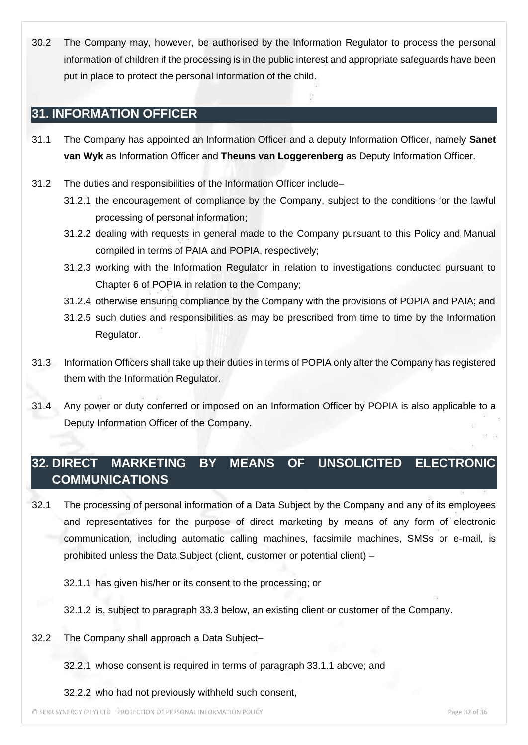30.2 The Company may, however, be authorised by the Information Regulator to process the personal information of children if the processing is in the public interest and appropriate safeguards have been put in place to protect the personal information of the child.

#### **31. INFORMATION OFFICER**

- 31.1 The Company has appointed an Information Officer and a deputy Information Officer, namely **Sanet van Wyk** as Information Officer and **Theuns van Loggerenberg** as Deputy Information Officer.
- 31.2 The duties and responsibilities of the Information Officer include–
	- 31.2.1 the encouragement of compliance by the Company, subject to the conditions for the lawful processing of personal information;
	- 31.2.2 dealing with requests in general made to the Company pursuant to this Policy and Manual compiled in terms of PAIA and POPIA, respectively;
	- 31.2.3 working with the Information Regulator in relation to investigations conducted pursuant to Chapter 6 of POPIA in relation to the Company;
	- 31.2.4 otherwise ensuring compliance by the Company with the provisions of POPIA and PAIA; and
	- 31.2.5 such duties and responsibilities as may be prescribed from time to time by the Information Regulator.
- 31.3 Information Officers shall take up their duties in terms of POPIA only after the Company has registered them with the Information Regulator.
- 31.4 Any power or duty conferred or imposed on an Information Officer by POPIA is also applicable to a Deputy Information Officer of the Company.

## **32. DIRECT MARKETING BY MEANS OF UNSOLICITED ELECTRONIC COMMUNICATIONS**

- 32.1 The processing of personal information of a Data Subject by the Company and any of its employees and representatives for the purpose of direct marketing by means of any form of electronic communication, including automatic calling machines, facsimile machines, SMSs or e-mail, is prohibited unless the Data Subject (client, customer or potential client) –
	- 32.1.1 has given his/her or its consent to the processing; or
	- 32.1.2 is, subject to paragraph 33.3 below, an existing client or customer of the Company.
- 32.2 The Company shall approach a Data Subject–
	- 32.2.1 whose consent is required in terms of paragraph 33.1.1 above; and
	- 32.2.2 who had not previously withheld such consent,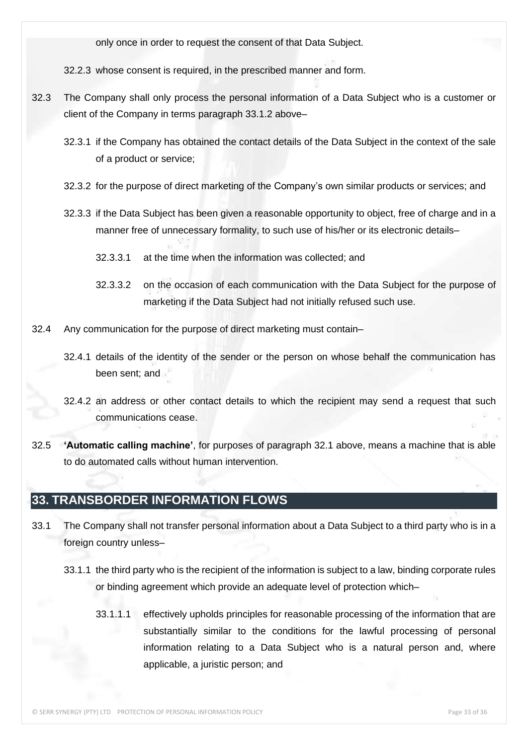only once in order to request the consent of that Data Subject.

32.2.3 whose consent is required, in the prescribed manner and form.

- 32.3 The Company shall only process the personal information of a Data Subject who is a customer or client of the Company in terms paragraph 33.1.2 above–
	- 32.3.1 if the Company has obtained the contact details of the Data Subject in the context of the sale of a product or service;
	- 32.3.2 for the purpose of direct marketing of the Company's own similar products or services; and
	- 32.3.3 if the Data Subject has been given a reasonable opportunity to object, free of charge and in a manner free of unnecessary formality, to such use of his/her or its electronic details–
		- 32.3.3.1 at the time when the information was collected; and
		- 32.3.3.2 on the occasion of each communication with the Data Subject for the purpose of marketing if the Data Subject had not initially refused such use.
- 32.4 Any communication for the purpose of direct marketing must contain–
	- 32.4.1 details of the identity of the sender or the person on whose behalf the communication has been sent; and
	- 32.4.2 an address or other contact details to which the recipient may send a request that such communications cease.
- 32.5 **'Automatic calling machine'**, for purposes of paragraph 32.1 above, means a machine that is able to do automated calls without human intervention.

#### **33. TRANSBORDER INFORMATION FLOWS**

- 33.1 The Company shall not transfer personal information about a Data Subject to a third party who is in a foreign country unless–
	- 33.1.1 the third party who is the recipient of the information is subject to a law, binding corporate rules or binding agreement which provide an adequate level of protection which–
		- 33.1.1.1 effectively upholds principles for reasonable processing of the information that are substantially similar to the conditions for the lawful processing of personal information relating to a Data Subject who is a natural person and, where applicable, a juristic person; and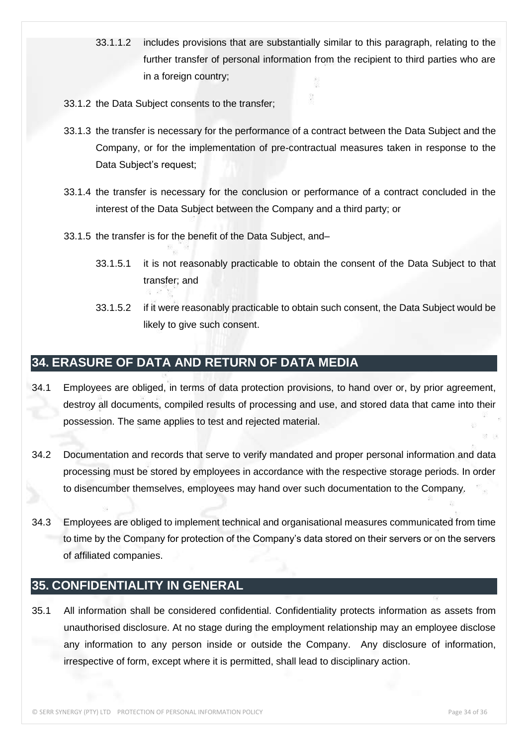- 33.1.1.2 includes provisions that are substantially similar to this paragraph, relating to the further transfer of personal information from the recipient to third parties who are in a foreign country;
- 33.1.2 the Data Subject consents to the transfer;
- 33.1.3 the transfer is necessary for the performance of a contract between the Data Subject and the Company, or for the implementation of pre-contractual measures taken in response to the Data Subject's request;
- 33.1.4 the transfer is necessary for the conclusion or performance of a contract concluded in the interest of the Data Subject between the Company and a third party; or
- 33.1.5 the transfer is for the benefit of the Data Subject, and–
	- 33.1.5.1 it is not reasonably practicable to obtain the consent of the Data Subject to that transfer; and
	- 33.1.5.2 if it were reasonably practicable to obtain such consent, the Data Subject would be likely to give such consent.

#### **34. ERASURE OF DATA AND RETURN OF DATA MEDIA**

- 34.1 Employees are obliged, in terms of data protection provisions, to hand over or, by prior agreement, destroy all documents, compiled results of processing and use, and stored data that came into their possession. The same applies to test and rejected material.
- 34.2 Documentation and records that serve to verify mandated and proper personal information and data processing must be stored by employees in accordance with the respective storage periods. In order to disencumber themselves, employees may hand over such documentation to the Company.
- 34.3 Employees are obliged to implement technical and organisational measures communicated from time to time by the Company for protection of the Company's data stored on their servers or on the servers of affiliated companies.

#### **35. CONFIDENTIALITY IN GENERAL**

35.1 All information shall be considered confidential. Confidentiality protects information as assets from unauthorised disclosure. At no stage during the employment relationship may an employee disclose any information to any person inside or outside the Company. Any disclosure of information, irrespective of form, except where it is permitted, shall lead to disciplinary action.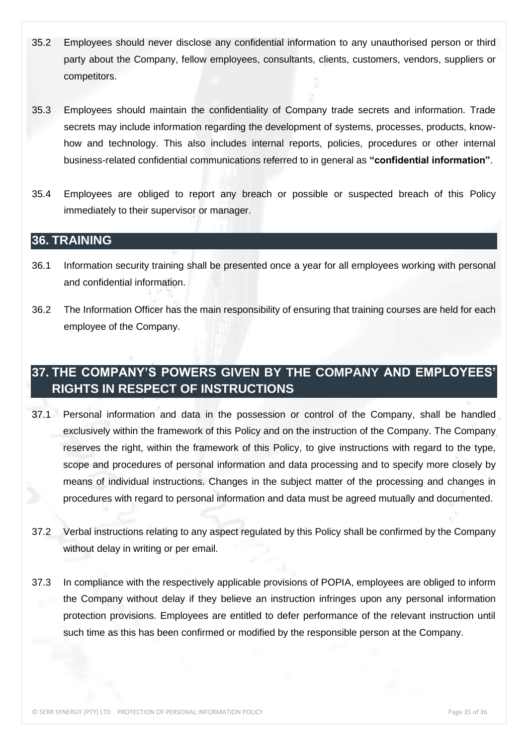- 35.2 Employees should never disclose any confidential information to any unauthorised person or third party about the Company, fellow employees, consultants, clients, customers, vendors, suppliers or competitors.
- 35.3 Employees should maintain the confidentiality of Company trade secrets and information. Trade secrets may include information regarding the development of systems, processes, products, knowhow and technology. This also includes internal reports, policies, procedures or other internal business-related confidential communications referred to in general as **"confidential information"**.
- 35.4 Employees are obliged to report any breach or possible or suspected breach of this Policy immediately to their supervisor or manager.

#### **36. TRAINING**

- 36.1 Information security training shall be presented once a year for all employees working with personal and confidential information.
- 36.2 The Information Officer has the main responsibility of ensuring that training courses are held for each employee of the Company.

## **37. THE COMPANY'S POWERS GIVEN BY THE COMPANY AND EMPLOYEES' RIGHTS IN RESPECT OF INSTRUCTIONS**

- 37.1 Personal information and data in the possession or control of the Company, shall be handled exclusively within the framework of this Policy and on the instruction of the Company. The Company reserves the right, within the framework of this Policy, to give instructions with regard to the type, scope and procedures of personal information and data processing and to specify more closely by means of individual instructions. Changes in the subject matter of the processing and changes in procedures with regard to personal information and data must be agreed mutually and documented.
- 37.2 Verbal instructions relating to any aspect regulated by this Policy shall be confirmed by the Company without delay in writing or per email.
- 37.3 In compliance with the respectively applicable provisions of POPIA, employees are obliged to inform the Company without delay if they believe an instruction infringes upon any personal information protection provisions. Employees are entitled to defer performance of the relevant instruction until such time as this has been confirmed or modified by the responsible person at the Company.